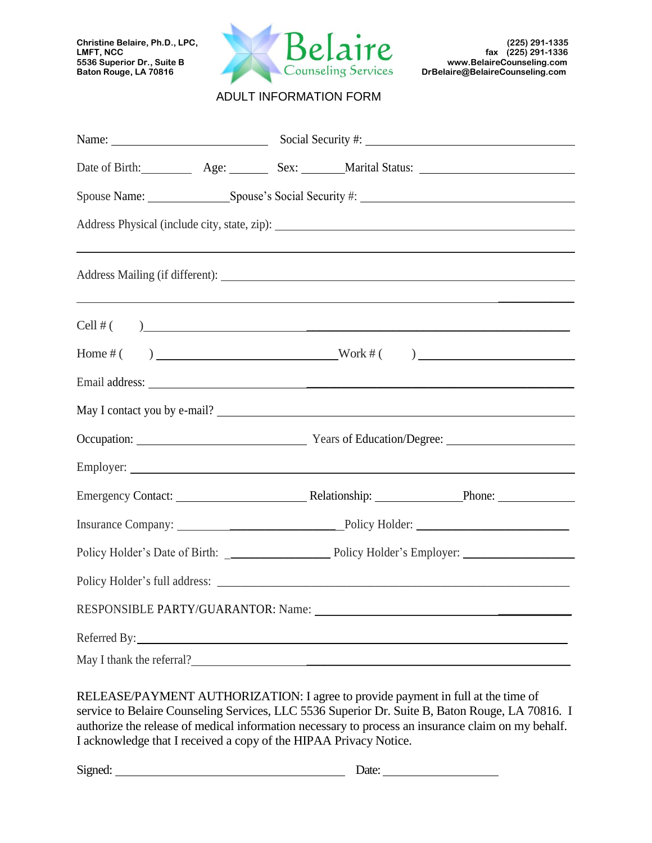

## ADULT INFORMATION FORM

|                                                          |  |  | Name: Social Security #: Social Security #:                                                                           |  |  |
|----------------------------------------------------------|--|--|-----------------------------------------------------------------------------------------------------------------------|--|--|
|                                                          |  |  | Date of Birth: Age: Sex: Marital Status:                                                                              |  |  |
| Spouse Name: Spouse's Social Security #: 1990 March 2014 |  |  |                                                                                                                       |  |  |
|                                                          |  |  |                                                                                                                       |  |  |
|                                                          |  |  | <u> 1999 - Johann Harry Harry Harry Harry Harry Harry Harry Harry Harry Harry Harry Harry Harry Harry Harry Harry</u> |  |  |
| Cell # $($ $)$                                           |  |  |                                                                                                                       |  |  |
|                                                          |  |  |                                                                                                                       |  |  |
|                                                          |  |  |                                                                                                                       |  |  |
|                                                          |  |  |                                                                                                                       |  |  |
|                                                          |  |  |                                                                                                                       |  |  |
|                                                          |  |  |                                                                                                                       |  |  |
|                                                          |  |  |                                                                                                                       |  |  |
|                                                          |  |  |                                                                                                                       |  |  |
|                                                          |  |  |                                                                                                                       |  |  |
|                                                          |  |  |                                                                                                                       |  |  |
|                                                          |  |  |                                                                                                                       |  |  |
| May I thank the referral?                                |  |  | Referred By:                                                                                                          |  |  |

RELEASE/PAYMENT AUTHORIZATION: I agree to provide payment in full at the time of service to Belaire Counseling Services, LLC 5536 Superior Dr. Suite B, Baton Rouge, LA 70816. I authorize the release of medical information necessary to process an insurance claim on my behalf. I acknowledge that I received a copy of the HIPAA Privacy Notice.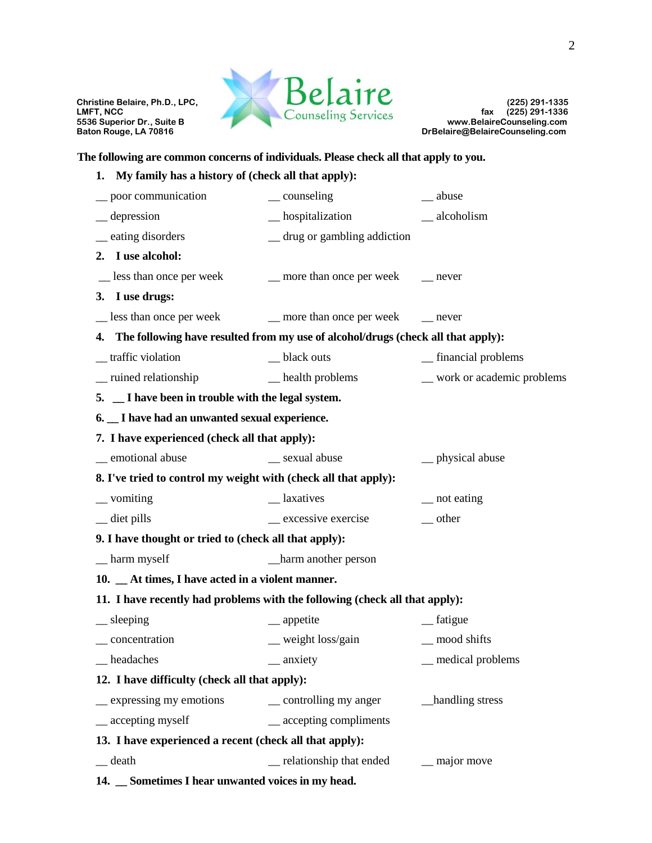

## **The following are common concerns of individuals. Please check all that apply to you.**

| 1. My family has a history of (check all that apply):           |                                                                                     |                                  |
|-----------------------------------------------------------------|-------------------------------------------------------------------------------------|----------------------------------|
| _ poor communication                                            | __ counseling                                                                       | $\equiv$ abuse                   |
| $\equiv$ depression                                             | <sub>n</sub> hospitalization                                                        | $\equiv$ alcoholism              |
| <u>eating</u> disorders                                         | _ drug or gambling addiction                                                        |                                  |
| 2. I use alcohol:                                               |                                                                                     |                                  |
|                                                                 | _ less than once per week ______ more than once per week _______ never              |                                  |
| 3. I use drugs:                                                 |                                                                                     |                                  |
|                                                                 | _ less than once per week _______ more than once per week _______ never             |                                  |
|                                                                 | 4. The following have resulted from my use of alcohol/drugs (check all that apply): |                                  |
| _traffic violation                                              | _black outs                                                                         | <sub>__</sub> financial problems |
|                                                                 |                                                                                     | _ work or academic problems      |
| 5. _ I have been in trouble with the legal system.              |                                                                                     |                                  |
| 6. _ I have had an unwanted sexual experience.                  |                                                                                     |                                  |
| 7. I have experienced (check all that apply):                   |                                                                                     |                                  |
| _ emotional abuse                                               | _ sexual abuse                                                                      | _ physical abuse                 |
| 8. I've tried to control my weight with (check all that apply): |                                                                                     |                                  |
| $\equiv$ vomiting                                               | __ laxatives                                                                        | _ not eating                     |
| $\equiv$ diet pills                                             | $\equiv$ excessive exercise                                                         | $\equiv$ other                   |
| 9. I have thought or tried to (check all that apply):           |                                                                                     |                                  |
| _harm myself                                                    | _harm another person                                                                |                                  |
| 10. _ At times, I have acted in a violent manner.               |                                                                                     |                                  |
|                                                                 | 11. I have recently had problems with the following (check all that apply):         |                                  |
| $\equiv$ sleeping                                               | <sub>__</sub> appetite                                                              | $\equiv$ fatigue                 |
| _concentration                                                  |                                                                                     |                                  |
| _ headaches                                                     | $\equiv$ anxiety                                                                    | _ medical problems               |
| 12. I have difficulty (check all that apply):                   |                                                                                     |                                  |
| <u>expressing</u> my emotions                                   | something my anger                                                                  | _handling stress                 |
| _ accepting myself                                              | $\equiv$ accepting compliments                                                      |                                  |
| 13. I have experienced a recent (check all that apply):         |                                                                                     |                                  |
| death<br>$\frac{1}{2}$                                          | relationship that ended                                                             | $\equiv$ major move              |
| 14. Sometimes I hear unwanted voices in my head.                |                                                                                     |                                  |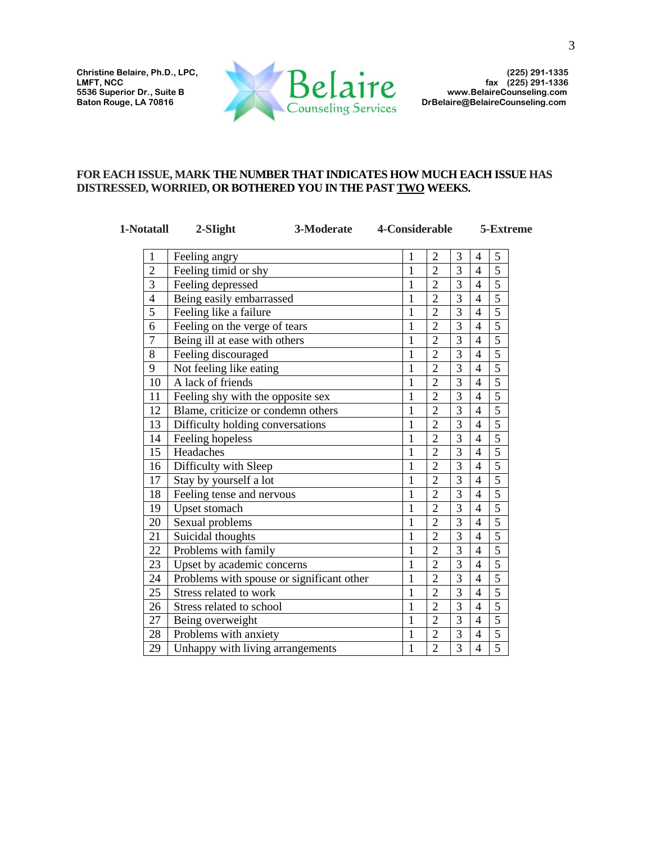

## **FOR EACH ISSUE, MARK THE NUMBER THAT INDICATES HOW MUCH EACH ISSUE HAS DISTRESSED, WORRIED, OR BOTHERED YOU IN THE PAST TWO WEEKS.**

| 1-Notatall     | 2-Slight                                  | 3-Moderate | 4-Considerable |              |                |                |                | 5-Extreme      |  |
|----------------|-------------------------------------------|------------|----------------|--------------|----------------|----------------|----------------|----------------|--|
|                | Feeling angry                             |            |                | 1            | $\overline{2}$ | 3              | 4              | 5              |  |
| $\overline{2}$ | Feeling timid or shy                      |            |                | $\mathbf{1}$ | $\overline{2}$ | 3              | $\overline{4}$ | 5              |  |
| 3              | Feeling depressed                         |            |                | 1            | $\overline{2}$ | 3              | $\overline{4}$ | 5              |  |
| 4              | Being easily embarrassed                  |            |                | 1            | $\overline{2}$ | 3              | $\overline{4}$ | $\overline{5}$ |  |
| 5              | Feeling like a failure                    |            |                | $\mathbf{1}$ | $\overline{2}$ | $\overline{3}$ | $\overline{4}$ | $\overline{5}$ |  |
| 6              | Feeling on the verge of tears             |            |                | $\mathbf{1}$ | $\overline{2}$ | 3              | $\overline{4}$ | $\overline{5}$ |  |
| $\overline{7}$ | Being ill at ease with others             |            |                | 1            | $\overline{2}$ | 3              | $\overline{4}$ | $\overline{5}$ |  |
| 8              | Feeling discouraged                       |            |                | $\mathbf{1}$ | $\overline{2}$ | 3              | $\overline{4}$ | 5              |  |
| 9              | Not feeling like eating                   |            |                | $\mathbf{1}$ | $\overline{2}$ | 3              | $\overline{4}$ | $\overline{5}$ |  |
| 10             | A lack of friends                         |            |                | 1            | $\overline{2}$ | $\overline{3}$ | $\overline{4}$ | $\overline{5}$ |  |
| 11             | Feeling shy with the opposite sex         |            |                | $\mathbf{1}$ | $\overline{2}$ | 3              | $\overline{4}$ | $\overline{5}$ |  |
| 12             | Blame, criticize or condemn others        |            |                | $\mathbf{1}$ | $\overline{2}$ | 3              | $\overline{4}$ | $\overline{5}$ |  |
| 13             | Difficulty holding conversations          |            |                | $\mathbf{1}$ | $\overline{2}$ | $\overline{3}$ | $\overline{4}$ | $\overline{5}$ |  |
| 14             | Feeling hopeless                          |            |                | $\mathbf{1}$ | $\overline{2}$ | $\overline{3}$ | $\overline{4}$ | $\overline{5}$ |  |
| 15             | Headaches                                 |            |                | $\mathbf{1}$ | $\overline{2}$ | 3              | $\overline{4}$ | 5              |  |
| 16             | Difficulty with Sleep                     |            |                | $\mathbf{1}$ | $\overline{2}$ | $\overline{3}$ | $\overline{4}$ | $\overline{5}$ |  |
| 17             | Stay by yourself a lot                    |            |                | $\mathbf{1}$ | $\overline{2}$ | $\overline{3}$ | $\overline{4}$ | $\overline{5}$ |  |
| 18             | Feeling tense and nervous                 |            |                | $\mathbf{1}$ | $\overline{2}$ | 3              | $\overline{4}$ | 5              |  |
| 19             | Upset stomach                             |            |                | $\mathbf{1}$ | $\overline{2}$ | $\overline{3}$ | $\overline{4}$ | $\overline{5}$ |  |
| 20             | Sexual problems                           |            |                | 1            | $\overline{2}$ | 3              | $\overline{4}$ | 5              |  |
| 21             | Suicidal thoughts                         |            |                | $\mathbf{1}$ | $\overline{2}$ | 3              | $\overline{4}$ | $\overline{5}$ |  |
| 22             | Problems with family                      |            |                | $\mathbf{1}$ | $\overline{2}$ | 3              | $\overline{4}$ | 5              |  |
| 23             | Upset by academic concerns                |            |                | $\mathbf{1}$ | $\overline{2}$ | $\overline{3}$ | $\overline{4}$ | $\overline{5}$ |  |
| 24             | Problems with spouse or significant other |            |                | $\mathbf{1}$ | $\overline{2}$ | 3              | $\overline{4}$ | $\overline{5}$ |  |
| 25             | Stress related to work                    |            |                | $\mathbf{1}$ | $\overline{2}$ | 3              | $\overline{4}$ | 5              |  |
| 26             | Stress related to school                  |            |                | $\mathbf{1}$ | $\overline{2}$ | $\overline{3}$ | $\overline{4}$ | $\overline{5}$ |  |
| 27             | Being overweight                          |            |                | $\mathbf{1}$ | $\overline{2}$ | 3              | $\overline{4}$ | 5              |  |
| 28             | Problems with anxiety                     |            |                | $\mathbf{1}$ | $\overline{2}$ | 3              | $\overline{4}$ | $\overline{5}$ |  |
| 29             | Unhappy with living arrangements          |            |                | $\mathbf{1}$ | $\overline{2}$ | $\overline{3}$ | $\overline{4}$ | $\overline{5}$ |  |
|                |                                           |            |                |              |                |                |                |                |  |